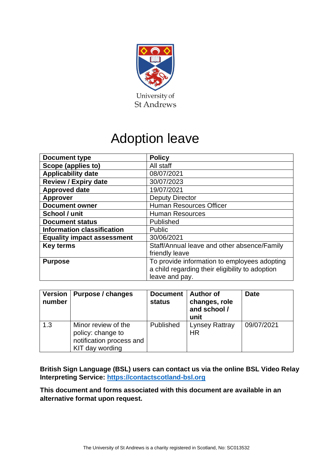

# Adoption leave

| <b>Document type</b>              | <b>Policy</b>                                                                                                     |
|-----------------------------------|-------------------------------------------------------------------------------------------------------------------|
| Scope (applies to)                | All staff                                                                                                         |
| <b>Applicability date</b>         | 08/07/2021                                                                                                        |
| <b>Review / Expiry date</b>       | 30/07/2023                                                                                                        |
| <b>Approved date</b>              | 19/07/2021                                                                                                        |
| <b>Approver</b>                   | <b>Deputy Director</b>                                                                                            |
| <b>Document owner</b>             | <b>Human Resources Officer</b>                                                                                    |
| School / unit                     | <b>Human Resources</b>                                                                                            |
| <b>Document status</b>            | Published                                                                                                         |
| <b>Information classification</b> | <b>Public</b>                                                                                                     |
| <b>Equality impact assessment</b> | 30/06/2021                                                                                                        |
| <b>Key terms</b>                  | Staff/Annual leave and other absence/Family<br>friendly leave                                                     |
| <b>Purpose</b>                    | To provide information to employees adopting<br>a child regarding their eligibility to adoption<br>leave and pay. |

| <b>Version</b><br>number | Purpose / changes                                                                       | <b>Document</b><br>status | <b>Author of</b><br>changes, role<br>and school /<br>unit | <b>Date</b> |
|--------------------------|-----------------------------------------------------------------------------------------|---------------------------|-----------------------------------------------------------|-------------|
| 1.3                      | Minor review of the<br>policy: change to<br>notification process and<br>KIT day wording | Published                 | Lynsey Rattray<br>ΗR                                      | 09/07/2021  |

**British Sign Language (BSL) users can contact us via the online BSL Video Relay Interpreting Service: [https://contactscotland-bsl.org](https://contactscotland-bsl.org/)**

**This document and forms associated with this document are available in an alternative format upon request.**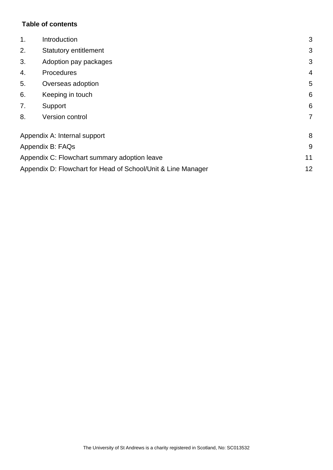# **Table of contents**

| 1.                                           | Introduction                                                 |                |
|----------------------------------------------|--------------------------------------------------------------|----------------|
| 2.                                           | <b>Statutory entitlement</b>                                 |                |
| 3.                                           | Adoption pay packages                                        |                |
| 4.                                           | Procedures                                                   |                |
| 5.<br>Overseas adoption                      |                                                              | 5              |
| 6.                                           | Keeping in touch                                             | 6              |
| 7.                                           | Support                                                      | 6              |
| 8.                                           | Version control                                              | $\overline{7}$ |
| Appendix A: Internal support                 |                                                              | 8              |
| Appendix B: FAQs                             |                                                              | 9              |
| Appendix C: Flowchart summary adoption leave |                                                              | 11             |
|                                              | Appendix D: Flowchart for Head of School/Unit & Line Manager |                |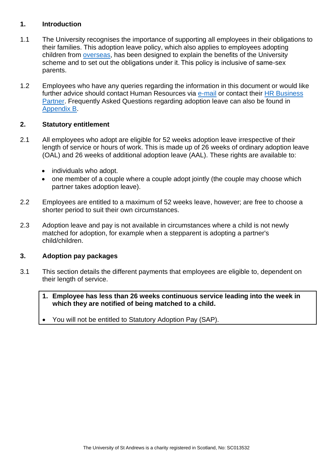#### <span id="page-2-0"></span>**1. Introduction**

- 1.1 The University recognises the importance of supporting all employees in their obligations to their families. This adoption leave policy, which also applies to employees adopting children from [overseas,](#page-4-0) has been designed to explain the benefits of the University scheme and to set out the obligations under it. This policy is inclusive of same-sex parents.
- 1.2 Employees who have any queries regarding the information in this document or would like further advice should contact Human Resources via [e-mail](mailto:hr.support@st-andrews.ac.uk) or contact their HR Business [Partner.](https://www.st-andrews.ac.uk/hr/businesspartner/) Frequently Asked Questions regarding adoption leave can also be found in [Appendix B.](#page-8-0)

## <span id="page-2-1"></span>**2. Statutory entitlement**

- 2.1 All employees who adopt are eligible for 52 weeks adoption leave irrespective of their length of service or hours of work. This is made up of 26 weeks of ordinary adoption leave (OAL) and 26 weeks of additional adoption leave (AAL). These rights are available to:
	- individuals who adopt.
	- one member of a couple where a couple adopt jointly (the couple may choose which partner takes adoption leave).
- 2.2 Employees are entitled to a maximum of 52 weeks leave, however; are free to choose a shorter period to suit their own circumstances.
- 2.3 Adoption leave and pay is not available in circumstances where a child is not newly matched for adoption, for example when a stepparent is adopting a partner's child/children.

#### <span id="page-2-2"></span>**3. Adoption pay packages**

- 3.1 This section details the different payments that employees are eligible to, dependent on their length of service.
	- **1. Employee has less than 26 weeks continuous service leading into the week in which they are notified of being matched to a child.**
	- You will not be entitled to Statutory Adoption Pay (SAP).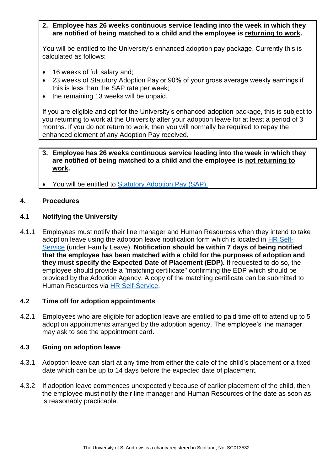**2. Employee has 26 weeks continuous service leading into the week in which they are notified of being matched to a child and the employee is returning to work.**

You will be entitled to the University's enhanced adoption pay package. Currently this is calculated as follows:

- 16 weeks of full salary and;
- 23 weeks of Statutory Adoption Pay or 90% of your gross average weekly earnings if this is less than the SAP rate per week;
- the remaining 13 weeks will be unpaid.

If you are eligible and opt for the University's enhanced adoption package, this is subject to you returning to work at the University after your adoption leave for at least a period of 3 months. If you do not return to work, then you will normally be required to repay the enhanced element of any Adoption Pay received.

#### **3. Employee has 26 weeks continuous service leading into the week in which they are notified of being matched to a child and the employee is not returning to work.**

You will be entitled to [Statutory Adoption](https://www.gov.uk/employers-adoption-pay-leave) Pay (SAP).

#### <span id="page-3-0"></span>**4. Procedures**

#### **4.1 Notifying the University**

4.1.1 Employees must notify their line manager and Human Resources when they intend to take adoption leave using the adoption leave notification form which is located in [HR Self-](https://www.st-andrews.ac.uk/selfservice/)[Service](https://www.st-andrews.ac.uk/selfservice/) (under Family Leave). **Notification should be within 7 days of being notified that the employee has been matched with a child for the purposes of adoption and they must specify the Expected Date of Placement (EDP).** If requested to do so, the employee should provide a "matching certificate" confirming the EDP which should be provided by the Adoption Agency. A copy of the matching certificate can be submitted to Human Resources via [HR Self-Service.](https://www.st-andrews.ac.uk/selfservice/)

#### **4.2 Time off for adoption appointments**

4.2.1 Employees who are eligible for adoption leave are entitled to paid time off to attend up to 5 adoption appointments arranged by the adoption agency. The employee's line manager may ask to see the appointment card.

#### **4.3 Going on adoption leave**

- 4.3.1 Adoption leave can start at any time from either the date of the child's placement or a fixed date which can be up to 14 days before the expected date of placement.
- 4.3.2 If adoption leave commences unexpectedly because of earlier placement of the child, then the employee must notify their line manager and Human Resources of the date as soon as is reasonably practicable.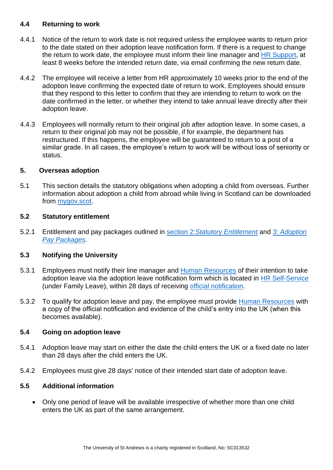## **4.4 Returning to work**

- 4.4.1 Notice of the return to work date is not required unless the employee wants to return prior to the date stated on their adoption leave notification form. If there is a request to change the return to work date, the employee must inform their line manager and [HR Support,](mailto:hr.support@st-andrews.ac.uk) at least 8 weeks before the intended return date, via email confirming the new return date.
- 4.4.2 The employee will receive a letter from HR approximately 10 weeks prior to the end of the adoption leave confirming the expected date of return to work. Employees should ensure that they respond to this letter to confirm that they are intending to return to work on the date confirmed in the letter, or whether they intend to take annual leave directly after their adoption leave.
- 4.4.3 Employees will normally return to their original job after adoption leave. In some cases, a return to their original job may not be possible, if for example, the department has restructured. If this happens, the employee will be guaranteed to return to a post of a similar grade. In all cases, the employee's return to work will be without loss of seniority or status.

#### <span id="page-4-0"></span>**5. Overseas adoption**

5.1 This section details the statutory obligations when adopting a child from overseas. Further information about adoption a child from abroad while living in Scotland can be downloaded from [mygov.scot.](https://www.mygov.scot/adopting-child-from-abroad)

#### **5.2 Statutory entitlement**

5.2.1 Entitlement and pay packages outlined in section 2:*[Statutory Entitlement](#page-2-1)* and *[3: Adoption](#page-2-2)  [Pay Packages](#page-2-2)*.

#### **5.3 Notifying the University**

- 5.3.1 Employees must notify their line manager and [Human Resources](mailto:hr.support@st-andrews.ac.uk) of their intention to take adoption leave via the adoption leave notification form which is located in [HR Self-Service](https://www.st-andrews.ac.uk/selfservice/)  (under Family Leave), within 28 days of receiving [official notification.](#page-5-1)
- 5.3.2 To qualify for adoption leave and pay, the employee must provide [Human Resources](mailto:hr.support@st-andrews.ac.uk) with a copy of the official notification and evidence of the child's entry into the UK (when this becomes available).

#### **5.4 Going on adoption leave**

- 5.4.1 Adoption leave may start on either the date the child enters the UK or a fixed date no later than 28 days after the child enters the UK.
- 5.4.2 Employees must give 28 days' notice of their intended start date of adoption leave.

#### **5.5 Additional information**

• Only one period of leave will be available irrespective of whether more than one child enters the UK as part of the same arrangement.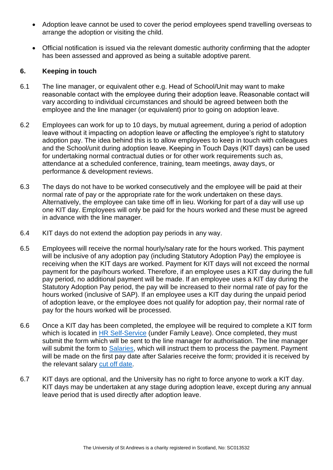- Adoption leave cannot be used to cover the period employees spend travelling overseas to arrange the adoption or visiting the child.
- <span id="page-5-1"></span>• Official notification is issued via the relevant domestic authority confirming that the adopter has been assessed and approved as being a suitable adoptive parent.

#### <span id="page-5-0"></span>**6. Keeping in touch**

- 6.1 The line manager, or equivalent other e.g. Head of School/Unit may want to make reasonable contact with the employee during their adoption leave. Reasonable contact will vary according to individual circumstances and should be agreed between both the employee and the line manager (or equivalent) prior to going on adoption leave.
- 6.2 Employees can work for up to 10 days, by mutual agreement, during a period of adoption leave without it impacting on adoption leave or affecting the employee's right to statutory adoption pay. The idea behind this is to allow employees to keep in touch with colleagues and the School/unit during adoption leave. Keeping in Touch Days (KIT days) can be used for undertaking normal contractual duties or for other work requirements such as, attendance at a scheduled conference, training, team meetings, away days, or performance & development reviews.
- 6.3 The days do not have to be worked consecutively and the employee will be paid at their normal rate of pay or the appropriate rate for the work undertaken on these days. Alternatively, the employee can take time off in lieu. Working for part of a day will use up one KIT day. Employees will only be paid for the hours worked and these must be agreed in advance with the line manager.
- 6.4 KIT days do not extend the adoption pay periods in any way.
- 6.5 Employees will receive the normal hourly/salary rate for the hours worked. This payment will be inclusive of any adoption pay (including Statutory Adoption Pay) the employee is receiving when the KIT days are worked. Payment for KIT days will not exceed the normal payment for the pay/hours worked. Therefore, if an employee uses a KIT day during the full pay period, no additional payment will be made. If an employee uses a KIT day during the Statutory Adoption Pay period, the pay will be increased to their normal rate of pay for the hours worked (inclusive of SAP). If an employee uses a KIT day during the unpaid period of adoption leave, or the employee does not qualify for adoption pay, their normal rate of pay for the hours worked will be processed.
- 6.6 Once a KIT day has been completed, the employee will be required to complete a KIT form which is located in [HR Self-Service](https://www.st-andrews.ac.uk/selfservice/) (under Family Leave). Once completed, they must submit the form which will be sent to the line manager for authorisation. The line manager will submit the form to [Salaries,](mailto:monthly-ns@st-andrews.ac.uk) which will instruct them to process the payment. Payment will be made on the first pay date after Salaries receive the form; provided it is received by the relevant salary [cut off date.](https://www.st-andrews.ac.uk/staff/money/salaries/dates/)
- 6.7 KIT days are optional, and the University has no right to force anyone to work a KIT day. KIT days may be undertaken at any stage during adoption leave, except during any annual leave period that is used directly after adoption leave.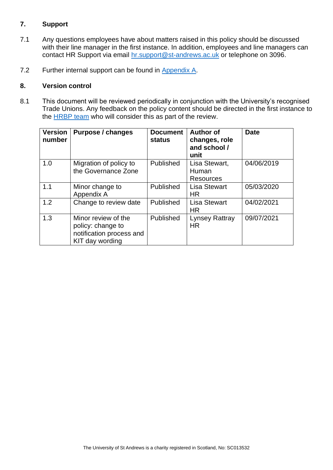# <span id="page-6-0"></span>**7. Support**

- 7.1 Any questions employees have about matters raised in this policy should be discussed with their line manager in the first instance. In addition, employees and line managers can contact HR Support via email [hr.support@st-andrews.ac.uk](mailto:hr.support@st-andrews.ac.uk) or telephone on 3096.
- 7.2 Further internal support can be found in [Appendix A.](#page-7-0)

#### <span id="page-6-1"></span>**8. Version control**

8.1 This document will be reviewed periodically in conjunction with the University's recognised Trade Unions. Any feedback on the policy content should be directed in the first instance to the **HRBP** team who will consider this as part of the review.

| <b>Version</b><br>number | <b>Purpose / changes</b>                                                                | <b>Document</b><br><b>status</b> | <b>Author of</b><br>changes, role<br>and school /<br>unit | <b>Date</b> |
|--------------------------|-----------------------------------------------------------------------------------------|----------------------------------|-----------------------------------------------------------|-------------|
| 1.0                      | Migration of policy to<br>the Governance Zone                                           | Published                        | Lisa Stewart,<br>Human<br><b>Resources</b>                | 04/06/2019  |
| 1.1                      | Minor change to<br>Appendix A                                                           | Published                        | <b>Lisa Stewart</b><br>HR                                 | 05/03/2020  |
| 1.2                      | Change to review date                                                                   | Published                        | <b>Lisa Stewart</b><br><b>HR</b>                          | 04/02/2021  |
| 1.3                      | Minor review of the<br>policy: change to<br>notification process and<br>KIT day wording | Published                        | Lynsey Rattray<br><b>HR</b>                               | 09/07/2021  |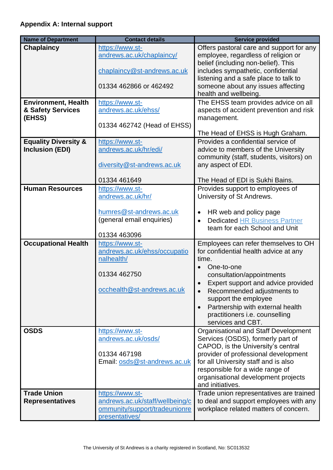<span id="page-7-0"></span>

| <b>Name of Department</b>       | <b>Contact details</b>                                           | <b>Service provided</b>                                                                  |
|---------------------------------|------------------------------------------------------------------|------------------------------------------------------------------------------------------|
| <b>Chaplaincy</b>               | https://www.st-                                                  | Offers pastoral care and support for any                                                 |
|                                 | andrews.ac.uk/chaplaincy/                                        | employee, regardless of religion or                                                      |
|                                 |                                                                  | belief (including non-belief). This                                                      |
|                                 | chaplaincy@st-andrews.ac.uk                                      | includes sympathetic, confidential<br>listening and a safe place to talk to              |
|                                 | 01334 462866 or 462492                                           | someone about any issues affecting                                                       |
|                                 |                                                                  | health and wellbeing.                                                                    |
| <b>Environment, Health</b>      | https://www.st-                                                  | The EHSS team provides advice on all                                                     |
| & Safety Services               | andrews.ac.uk/ehss/                                              | aspects of accident prevention and risk                                                  |
| (EHSS)                          | 01334 462742 (Head of EHSS)                                      | management.                                                                              |
|                                 |                                                                  | The Head of EHSS is Hugh Graham.                                                         |
| <b>Equality Diversity &amp;</b> | https://www.st-                                                  | Provides a confidential service of                                                       |
| <b>Inclusion (EDI)</b>          | andrews.ac.uk/hr/edi/                                            | advice to members of the University                                                      |
|                                 |                                                                  | community (staff, students, visitors) on                                                 |
|                                 | diversity@st-andrews.ac.uk                                       | any aspect of EDI.                                                                       |
|                                 | 01334 461649                                                     | The Head of EDI is Sukhi Bains.                                                          |
| <b>Human Resources</b>          | https://www.st-                                                  | Provides support to employees of                                                         |
|                                 | andrews.ac.uk/hr/                                                | University of St Andrews.                                                                |
|                                 |                                                                  |                                                                                          |
|                                 | humres@st-andrews.ac.uk<br>(general email enquiries)             | HR web and policy page<br>$\bullet$<br><b>Dedicated HR Business Partner</b><br>$\bullet$ |
|                                 |                                                                  | team for each School and Unit                                                            |
|                                 | 01334 463096                                                     |                                                                                          |
| <b>Occupational Health</b>      | https://www.st-                                                  | Employees can refer themselves to OH                                                     |
|                                 | andrews.ac.uk/ehss/occupatio                                     | for confidential health advice at any                                                    |
|                                 | nalhealth/                                                       | time.<br>One-to-one                                                                      |
|                                 | 01334 462750                                                     | consultation/appointments                                                                |
|                                 |                                                                  | Expert support and advice provided                                                       |
|                                 | occhealth@st-andrews.ac.uk                                       | Recommended adjustments to<br>$\bullet$                                                  |
|                                 |                                                                  | support the employee                                                                     |
|                                 |                                                                  | Partnership with external health<br>$\bullet$                                            |
|                                 |                                                                  | practitioners i.e. counselling<br>services and CBT.                                      |
| <b>OSDS</b>                     | https://www.st-                                                  | Organisational and Staff Development                                                     |
|                                 | andrews.ac.uk/osds/                                              | Services (OSDS), formerly part of                                                        |
|                                 |                                                                  | CAPOD, is the University's central                                                       |
|                                 | 01334 467198                                                     | provider of professional development<br>for all University staff and is also             |
|                                 | Email: osds@st-andrews.ac.uk                                     | responsible for a wide range of                                                          |
|                                 |                                                                  | organisational development projects                                                      |
|                                 |                                                                  | and initiatives.                                                                         |
| <b>Trade Union</b>              | https://www.st-                                                  | Trade union representatives are trained                                                  |
| <b>Representatives</b>          | andrews.ac.uk/staff/wellbeing/c<br>ommunity/support/tradeunionre | to deal and support employees with any<br>workplace related matters of concern.          |
|                                 | presentatives/                                                   |                                                                                          |
|                                 |                                                                  |                                                                                          |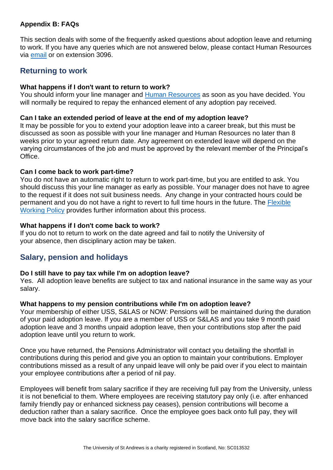#### <span id="page-8-0"></span>**Appendix B: FAQs**

This section deals with some of the frequently asked questions about adoption leave and returning to work. If you have any queries which are not answered below, please contact Human Resources via [email](mailto:humres@st-andrews.ac.uk) or on extension 3096.

# **Returning to work**

#### **What happens if I don't want to return to work?**

You should inform your line manager and [Human Resources](mailto:hr.support@st-andrews.ac.uk) as soon as you have decided. You will normally be required to repay the enhanced element of any adoption pay received.

#### **Can I take an extended period of leave at the end of my adoption leave?**

It may be possible for you to extend your adoption leave into a career break, but this must be discussed as soon as possible with your line manager and Human Resources no later than 8 weeks prior to your agreed return date. Any agreement on extended leave will depend on the varying circumstances of the job and must be approved by the relevant member of the Principal's Office.

#### **Can I come back to work part-time?**

You do not have an automatic right to return to work part-time, but you are entitled to ask. You should discuss this your line manager as early as possible. Your manager does not have to agree to the request if it does not suit business needs. Any change in your contracted hours could be permanent and you do not have a right to revert to full time hours in the future. The [Flexible](https://www.st-andrews.ac.uk/policy/staff-employee-relations-flexible-working/flexible-working-policy.pdf)  [Working Policy](https://www.st-andrews.ac.uk/policy/staff-employee-relations-flexible-working/flexible-working-policy.pdf) provides further information about this process.

#### **What happens if I don't come back to work?**

If you do not to return to work on the date agreed and fail to notify the University of your absence, then disciplinary action may be taken.

# **Salary, pension and holidays**

## **Do I still have to pay tax while I'm on adoption leave?**

Yes. All adoption leave benefits are subject to tax and national insurance in the same way as your salary.

#### **What happens to my pension contributions while I'm on adoption leave?**

Your membership of either USS, S&LAS or NOW: Pensions will be maintained during the duration of your paid adoption leave. If you are a member of USS or S&LAS and you take 9 month paid adoption leave and 3 months unpaid adoption leave, then your contributions stop after the paid adoption leave until you return to work.

Once you have returned, the Pensions Administrator will contact you detailing the shortfall in contributions during this period and give you an option to maintain your contributions. Employer contributions missed as a result of any unpaid leave will only be paid over if you elect to maintain your employee contributions after a period of nil pay.

Employees will benefit from salary sacrifice if they are receiving full pay from the University, unless it is not beneficial to them. Where employees are receiving statutory pay only (i.e. after enhanced family friendly pay or enhanced sickness pay ceases), pension contributions will become a deduction rather than a salary sacrifice. Once the employee goes back onto full pay, they will move back into the salary sacrifice scheme.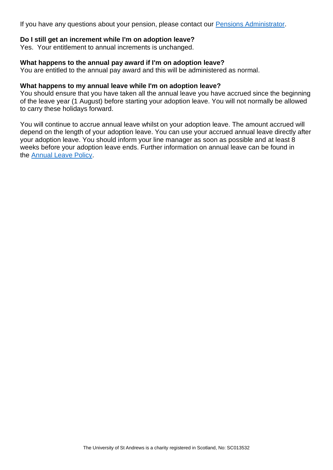If you have any questions about your pension, please contact our [Pensions Administrator.](mailto:pensions@st-andrews.ac.uk)

#### **Do I still get an increment while I'm on adoption leave?**

Yes. Your entitlement to annual increments is unchanged.

#### **What happens to the annual pay award if I'm on adoption leave?**

You are entitled to the annual pay award and this will be administered as normal.

#### **What happens to my annual leave while I'm on adoption leave?**

You should ensure that you have taken all the annual leave you have accrued since the beginning of the leave year (1 August) before starting your adoption leave. You will not normally be allowed to carry these holidays forward.

You will continue to accrue annual leave whilst on your adoption leave. The amount accrued will depend on the length of your adoption leave. You can use your accrued annual leave directly after your adoption leave. You should inform your line manager as soon as possible and at least 8 weeks before your adoption leave ends. Further information on annual leave can be found in the [Annual Leave Policy.](https://www.st-andrews.ac.uk/policy/staff-annual-leave-and-other-absence/annual-leave.pdf)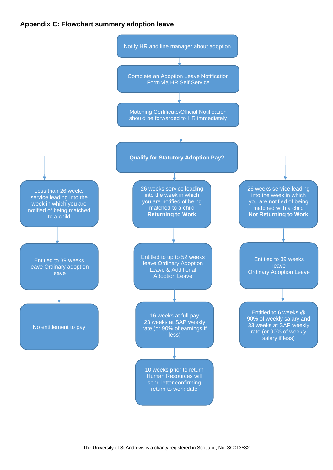#### <span id="page-10-0"></span>**Appendix C: Flowchart summary adoption leave**